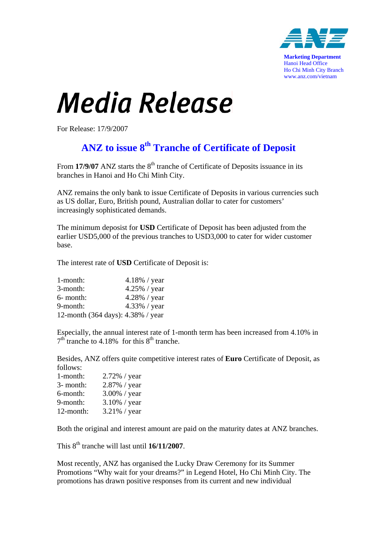

**Marketing Department** Hanoi Head Office Ho Chi Minh City Branch www.anz.com/vietnam

## Media Release

For Release: 17/9/2007

## **ANZ to issue 8th Tranche of Certificate of Deposit**

From **17/9/07** ANZ starts the 8<sup>th</sup> tranche of Certificate of Deposits issuance in its branches in Hanoi and Ho Chi Minh City.

ANZ remains the only bank to issue Certificate of Deposits in various currencies such as US dollar, Euro, British pound, Australian dollar to cater for customers' increasingly sophisticated demands.

The minimum deposist for **USD** Certificate of Deposit has been adjusted from the earlier USD5,000 of the previous tranches to USD3,000 to cater for wider customer base.

The interest rate of **USD** Certificate of Deposit is:

| 1-month:                          | $4.18\%$ / year |
|-----------------------------------|-----------------|
| 3-month:                          | $4.25\%$ / year |
| 6- month:                         | 4.28% / year    |
| 9-month:                          | 4.33% / year    |
| 12-month (364 days): 4.38% / year |                 |

Especially, the annual interest rate of 1-month term has been increased from 4.10% in  $7<sup>th</sup>$  tranche to 4.18% for this  $8<sup>th</sup>$  tranche.

Besides, ANZ offers quite competitive interest rates of **Euro** Certificate of Deposit, as follows:

| 1-month:  | 2.72% / year    |
|-----------|-----------------|
| 3- month: | 2.87% / year    |
| 6-month:  | 3.00% / year    |
| 9-month:  | $3.10\%$ / year |
| 12-month: | $3.21\%$ / year |

Both the original and interest amount are paid on the maturity dates at ANZ branches.

This  $8<sup>th</sup>$  tranche will last until  $16/11/2007$ .

Most recently, ANZ has organised the Lucky Draw Ceremony for its Summer Promotions "Why wait for your dreams?" in Legend Hotel, Ho Chi Minh City. The promotions has drawn positive responses from its current and new individual